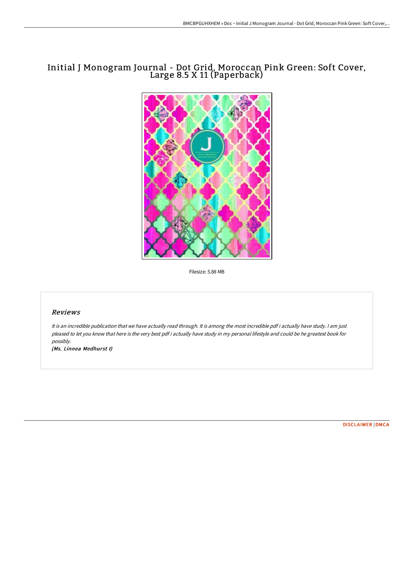# Initial J Monogram Journal - Dot Grid, Moroccan Pink Green: Soft Cover, Large 8.5 X 11 (Paperback)



Filesize: 5.88 MB

### Reviews

It is an incredible publication that we have actually read through. It is among the most incredible pdf i actually have study. <sup>I</sup> am just pleased to let you know that here is the very best pdf i actually have study in my personal lifestyle and could be he greatest book for possibly.

(Ms. Linnea Medhurst I)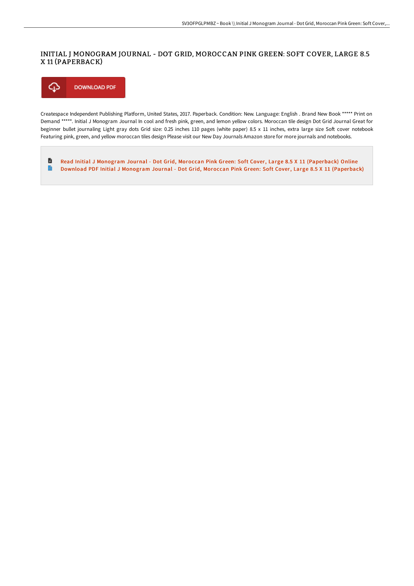## INITIAL J MONOGRAM JOURNAL - DOT GRID, MOROCCAN PINK GREEN: SOFT COVER, LARGE 8.5 X 11 (PAPERBACK)

⊕ **DOWNLOAD PDF** 

Createspace Independent Publishing Platform, United States, 2017. Paperback. Condition: New. Language: English . Brand New Book \*\*\*\*\* Print on Demand \*\*\*\*\*. Initial J Monogram Journal In cool and fresh pink, green, and lemon yellow colors. Moroccan tile design Dot Grid Journal Great for beginner bullet journaling Light gray dots Grid size: 0.25 inches 110 pages (white paper) 8.5 x 11 inches, extra large size Soft cover notebook Featuring pink, green, and yellow moroccan tiles design Please visit our New Day Journals Amazon store for more journals and notebooks.

 $\blacksquare$ Read Initial J Monogram Journal - Dot Grid, Moroccan Pink Green: Soft Cover, Large 8.5 X 11 [\(Paperback\)](http://www.bookdirs.com/initial-j-monogram-journal-dot-grid-moroccan-pin.html) Online  $\Rightarrow$ Download PDF Initial J Monogram Journal - Dot Grid, Moroccan Pink Green: Soft Cover, Large 8.5 X 11 [\(Paperback\)](http://www.bookdirs.com/initial-j-monogram-journal-dot-grid-moroccan-pin.html)